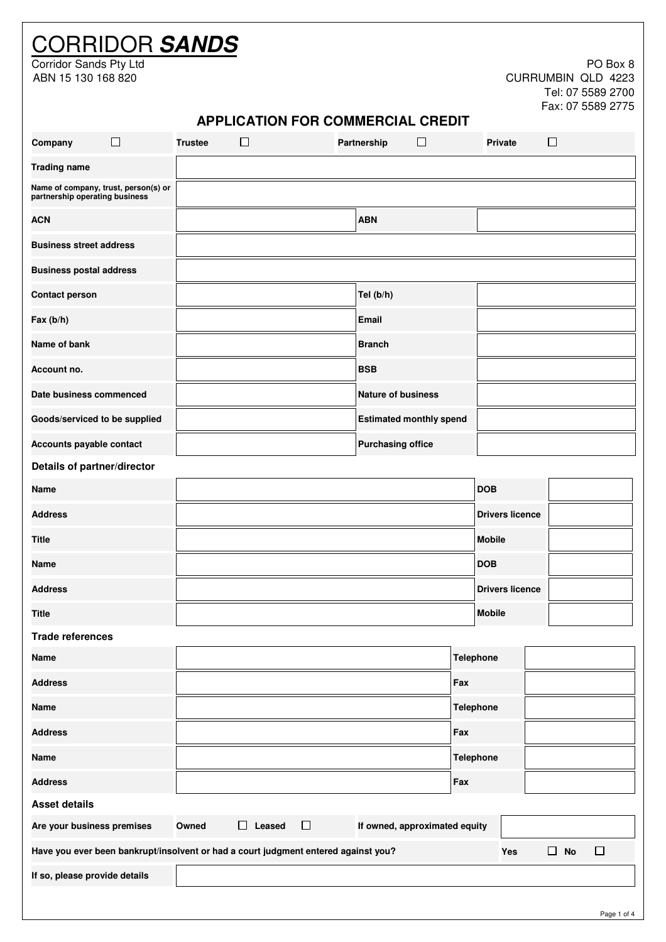# CORRIDOR **SANDS**

Corridor Sands Pty Ltd PO Box 8 ABN 15 130 168 820 CURRUMBIN QLD 4223 Tel: 07 5589 2700 Fax: 07 5589 2775

| <b>APPLICATION FOR COMMERCIAL CREDIT</b> |  |
|------------------------------------------|--|
|------------------------------------------|--|

| Company                        | $\Box$                               | <b>Trustee</b> | □                                                                                  | Partnership                    | $\Box$ |                  |               | <b>Private</b>         | $\Box$ |           |        |              |
|--------------------------------|--------------------------------------|----------------|------------------------------------------------------------------------------------|--------------------------------|--------|------------------|---------------|------------------------|--------|-----------|--------|--------------|
| <b>Trading name</b>            |                                      |                |                                                                                    |                                |        |                  |               |                        |        |           |        |              |
| partnership operating business | Name of company, trust, person(s) or |                |                                                                                    |                                |        |                  |               |                        |        |           |        |              |
| <b>ACN</b>                     |                                      |                |                                                                                    | <b>ABN</b>                     |        |                  |               |                        |        |           |        |              |
| <b>Business street address</b> |                                      |                |                                                                                    |                                |        |                  |               |                        |        |           |        |              |
| <b>Business postal address</b> |                                      |                |                                                                                    |                                |        |                  |               |                        |        |           |        |              |
| <b>Contact person</b>          |                                      |                |                                                                                    | Tel (b/h)                      |        |                  |               |                        |        |           |        |              |
| Fax (b/h)                      |                                      |                |                                                                                    | <b>Email</b>                   |        |                  |               |                        |        |           |        |              |
| Name of bank                   |                                      |                |                                                                                    | <b>Branch</b>                  |        |                  |               |                        |        |           |        |              |
| Account no.                    |                                      |                |                                                                                    | <b>BSB</b>                     |        |                  |               |                        |        |           |        |              |
| Date business commenced        |                                      |                |                                                                                    | <b>Nature of business</b>      |        |                  |               |                        |        |           |        |              |
| Goods/serviced to be supplied  |                                      |                |                                                                                    | <b>Estimated monthly spend</b> |        |                  |               |                        |        |           |        |              |
| Accounts payable contact       |                                      |                |                                                                                    | <b>Purchasing office</b>       |        |                  |               |                        |        |           |        |              |
| Details of partner/director    |                                      |                |                                                                                    |                                |        |                  |               |                        |        |           |        |              |
| <b>Name</b>                    |                                      |                |                                                                                    |                                |        |                  | <b>DOB</b>    |                        |        |           |        |              |
| <b>Address</b>                 |                                      |                |                                                                                    |                                |        |                  |               | <b>Drivers licence</b> |        |           |        |              |
| <b>Title</b>                   |                                      |                |                                                                                    |                                |        |                  | <b>Mobile</b> |                        |        |           |        |              |
| Name                           |                                      |                |                                                                                    |                                |        |                  | <b>DOB</b>    |                        |        |           |        |              |
| <b>Address</b>                 |                                      |                |                                                                                    |                                |        |                  |               | <b>Drivers licence</b> |        |           |        |              |
| <b>Title</b>                   |                                      |                |                                                                                    |                                |        |                  | <b>Mobile</b> |                        |        |           |        |              |
| <b>Trade references</b>        |                                      |                |                                                                                    |                                |        |                  |               |                        |        |           |        |              |
| <b>Name</b>                    |                                      |                |                                                                                    |                                |        | <b>Telephone</b> |               |                        |        |           |        |              |
| <b>Address</b>                 |                                      |                |                                                                                    |                                |        | Fax              |               |                        |        |           |        |              |
| <b>Name</b>                    |                                      |                |                                                                                    |                                |        | <b>Telephone</b> |               |                        |        |           |        |              |
| <b>Address</b>                 |                                      |                |                                                                                    |                                |        | Fax              |               |                        |        |           |        |              |
| Name                           |                                      |                |                                                                                    |                                |        | <b>Telephone</b> |               |                        |        |           |        |              |
| <b>Address</b>                 |                                      |                |                                                                                    |                                |        | Fax              |               |                        |        |           |        |              |
| <b>Asset details</b>           |                                      |                |                                                                                    |                                |        |                  |               |                        |        |           |        |              |
| Are your business premises     |                                      | Owned          | $\Box$ Leased<br>$\Box$                                                            | If owned, approximated equity  |        |                  |               |                        |        |           |        |              |
|                                |                                      |                | Have you ever been bankrupt/insolvent or had a court judgment entered against you? |                                |        |                  |               | Yes                    |        | $\Box$ No | $\Box$ |              |
| If so, please provide details  |                                      |                |                                                                                    |                                |        |                  |               |                        |        |           |        |              |
|                                |                                      |                |                                                                                    |                                |        |                  |               |                        |        |           |        | Proof 1 of 4 |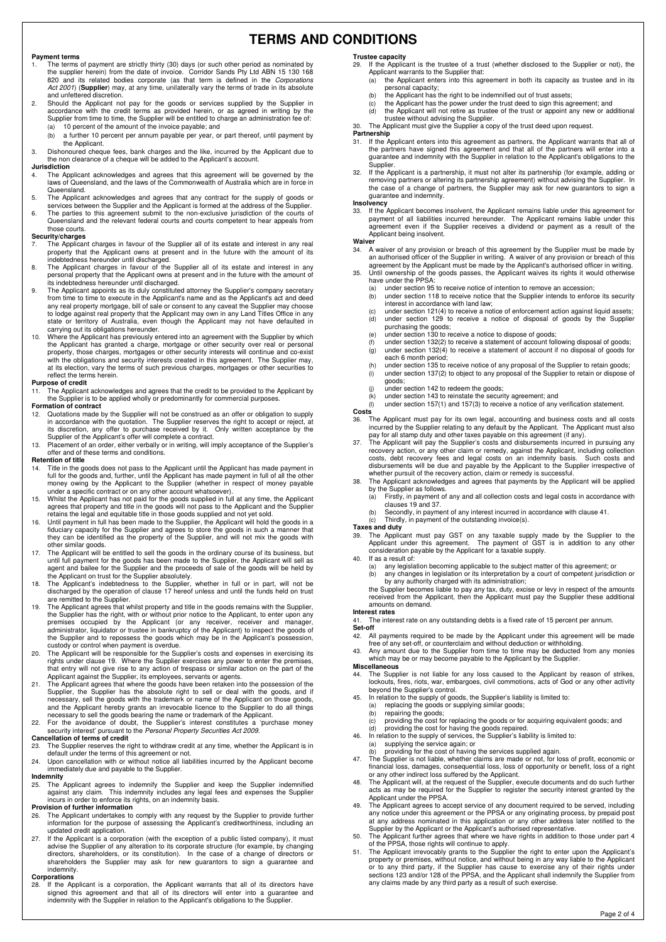# **TERMS AND CONDITIONS**

### **Payment terms**

- 1. The terms of payment are strictly thirty (30) days (or such other period as nominated by<br>the supplier herein) from the date of invoice. Corridor Sands Pty Ltd ABN 15 130 168<br>820 and its related bodies corporate (as that Act 2001) (**Supplier**) may, at any time, unilaterally vary the terms of trade in its absolute and unfettered discretion.
- 2. Should the Applicant not pay for the goods or services supplied by the Supplier in<br>accordance with the credit terms as provided herein, or as agreed in writing by the<br>Supplier from time to time, the Supplier will be ent (a) 10 percent of the amount of the invoice payable; and
	- (b) a further 10 percent per annum payable per year, or part thereof, until payment by the Applicant.

3. Dishonoured cheque fees, bank charges and the like, incurred by the Applicant due to the non clearance of a cheque will be added to the Applicant's account.

### **Jurisdiction**

4. The Applicant acknowledges and agrees that this agreement will be governed by the laws of Queensland, and the laws of the Commonwealth of Australia which are in force in Queensland.

5. The Applicant acknowledges and agrees that any contract for the supply of goods or<br>services between the Supplier and the Applicant is formed at the address of the Supplier.<br>The parties to this agreement submit to the no Queensland and the relevant federal courts and courts competent to hear appeals from those courts.

#### **Security/charges**

- 7. The Applicant charges in favour of the Supplier all of its estate and interest in any real property that the Applicant owns at present and in the future with the amount of its indebtedness hereunder until discharged.
- 8. The Applicant charges in favour of the Supplier all of its estate and interest in any personal property that the Applicant owns at present and in the future with the amount of its indebtedness hereunder until discharged.
- 9. The Applicant appoints as its duly constituted attorney the Supplier's company secretary from time to time to execute in the Applicant's name and as the Applicant's act and deed any real property mortgage, bill of sale or consent to any caveat the Supplier may choose<br>to lodge against real property that the Applicant may own in any Land Titles Office in any<br>state or territory of Australia, even tho
- the Applicant has granted a charge, mortgage or other security over real or personal property, those charges, mortgages or other security interests will continue and co-exist with the obligations and security interests created in this agreement. The Supplier may, at its election, vary the terms of such previous charges, mortgages or other securities to reflect the terms herein.

### **Purpose of credit**

- 11. The Applicant acknowledges and agrees that the credit to be provided to the Applicant by the Supplier is to be applied wholly or predominantly for commercial purposes.
- **Formation of contract**
- 12. Quotations made by the Supplier will not be construed as an offer or obligation to supply in accordance with the quotation. The Supplier reserves the right to accept or reject, at its discretion, any offer to purchase
- 13. Placement of an order, either verbally or in writing, will imply acceptance of the Supplier's offer and of these terms and conditions.

### **Retention of title**

- 14. Title in the goods does not pass to the Applicant until the Applicant has made payment in<br>full for the goods and, further, until the Applicant has made payment in full of all the other<br>money owing by the Applicant to t under a specific contract or on any other account whatsoever).
- 15. Whilst the Applicant has not paid for the goods supplied in full at any time, the Applicant agrees that property and title in the goods will not pass to the Applicant and the Supplier<br>retains the legal and equitable title in those goods supplied and not yet sold.<br>16. Until payment in full has been made to the Sup
- fiduciary capacity for the Supplier and agrees to store the goods in such a manner that they can be identified as the property of the Supplier, and will not mix the goods with other similar goods.
- 17. The Applicant will be entitled to sell the goods in the ordinary course of its business, but until full payment for the goods has been made to the Supplier, the Applicant will sell as agent and bailee for the Supplier and the proceeds of sale of the goods will be held by
- the Applicant on trust for the Supplier absolutely.<br>
18. The Applicant's indebtedness to the Supplier, whether in full or in part, will not be<br>
discharged by the operation of clause 17 hereof unless and until the funds hel
- the Supplier has the right, with or without prior notice to the Applicant, to enter upon any<br>premises occupied by the Applicant (or any receiver, receiver and manager,<br>administrator, liquidator or trustee in bankruptcy of
- custody or control when payment is overdue.<br>20. The Applicant will be responsible for the Supplier's costs and expenses in exercising its<br>rights under clause 19. Where the Supplier's costs any power to enter the premises,<br>
- Applicant against the Supplier, its employees, servants or agents. 21. The Applicant agrees that where the goods have been retaken into the possession of the Supplier, the Supplier has the absolute right to sell or deal with the goods, and if<br>necessary, sell the goods with the trademark or name of the Applicant on those goods,<br>and the Applicant hereby grants an irrevocable lice

necessary to sell the goods bearing the name or trademark of the Applicant.<br>22. For the avoidance of doubt, the Supplier's interest constitutes a 'purchase money<br>security interest' pursuant to the *Personal Property Securi* 

23. The Supplier reserves the right to withdraw credit at any time, whether the Applicant is in default under the terms of this agreement or not.

24. Upon cancellation with or without notice all liabilities incurred by the Applicant become immediately due and payable to the Supplier.

### **Indemnity**

25. The Applicant agrees to indemnify the Supplier and keep the Supplier indemnified against any claim. This indemnity includes any legal fees and expenses the Supplier incurs in order to enforce its rights, on an indemnity basis.

#### **Provision of further information**

- 26. The Applicant undertakes to comply with any request by the Supplier to provide further information for the purpose of assessing the Applicant's creditworthiness, including an updated credit application.
- 27. If the Applicant is a corporation (with the exception of a public listed company), it must advise the Supplier of any alteration to its corporate structure (for example, by changing<br>directors, shareholders, or its constitution). In the case of a change of directors or<br>shareholders the Supplier may ask for new gu indemnity.

### **Corporations**

28. If the Applicant is a corporation, the Applicant warrants that all of its directors have<br>signed this agreement and that all of its directors will enter into a guarantee and<br>indemnity with the Supplier in relation to th

### **Trustee capacity**<br>29 If the Applic

- If the Applicant is the trustee of a trust (whether disclosed to the Supplier or not), the Applicant warrants to the Supplier that:<br>
(a) the Applicant enters into this age
- the Applicant enters into this agreement in both its capacity as trustee and in its personal capacity; (b) the Applicant has the right to be indemnified out of trust assets;
	-
- (c) the Applicant has the power under the trust deed to sign this agreement; and (d) the Applicant will not retire as trustee of the trust or appoint any new or additional
- trustee without advising the Supplier. 30. The Applicant must give the Supplier a copy of the trust deed upon request.

### **Partnership**<br>31. If the A

- 31. If the Applicant enters into this agreement as partners, the Applicant warrants that all of the partners have signed this agreement and that all of the partners will enter into a guarantee and indemnity with the Supplier in relation to the Applicant's obligations to the **Supplier**
- If the Applicant is a partnership, it must not alter its partnership (for example, adding or removing partners or altering its partnership agreement) without advising the Supplier. In the case of a change of partners, the Supplier may ask for new guarantors to sign a guarantee and indemnity.

**Insolvency**  33. If the Applicant becomes insolvent, the Applicant remains liable under this agreement for payment of all liabilities incurred hereunder. The Applicant remains liable under this agreement even if the Supplier receives a dividend or payment as a result of the Applicant being insolvent.

### **Waiver**

- 34. A waiver of any provision or breach of this agreement by the Supplier must be made by<br>an authorised officer of the Supplier in writing. A waiver of any provision or breach of this<br>agreement by the Applicant Supplicant
- - (a) under section 95 to receive notice of intention to remove an accession;
	- (b) under section 118 to receive notice that the Supplier intends to enforce its security interest in accordance with land law; (c) under section 121(4) to receive a notice of enforcement action against liquid assets;
	- (d) under section 129 to receive a notice of disposal of goods by the Supplier purchasing the goods;
	-
	- (e) under section 130 to receive a notice to dispose of goods; (f) under section 132(2) to receive a statement of account following disposal of goods;  $(g)$  under section 132(4) to receive a statement of account if no disposal of goods for
		- each 6 month period;
	- (h) under section 135 to receive notice of any proposal of the Supplier to retain goods; (i) under section 137(2) to object to any proposal of the Supplier to retain or dispose of goods;
	- (j) under section 142 to redeem the goods; (k) under section 143 to reinstate the security agreement; and
	-
	- (l) under section 157(1) and 157(3) to receive a notice of any verification statement.
- **Costs**  36. The Applicant must pay for its own legal, accounting and business costs and all costs incurred by the Supplier relating to any default by the Applicant. The Applicant must also
- pay for all stamp duty and other taxes payable on this agreement (if any). 37. The Applicant will pay the Supplier's costs and disbursements incurred in pursuing any recovery action, or any other claim or remedy, against the Applicant, including collection<br>costs, debt recovery fees and legal costs on an indemnity basis. Such costs and<br>disbursements will be due and payable by the Applic
- 38. The Applicant acknowledges and agrees that payments by the Applicant will be applied by the Supplier as follows. (a) Firstly, in payment of any and all collection costs and legal costs in accordance with
	- clauses 19 and 37.
	- Secondly, in payment of any interest incurred in accordance with clause 41.<br>(c) Thirdly, in payment of the outstanding invoice(s). Thirdly, in payment of the outstanding invoice(s).
- 
- **Taxes and duty**
- 39. The Applicant must pay GST on any taxable supply made by the Supplier to the Applicant under this agreement. The payment of GST is in addition to any other consideration payable by the Applicant for a taxable supply.
- If as a result of:
	- (a) any legislation becoming applicable to the subject matter of this agreement; or<br>(b) any changes in legislation or its interpretation by a court of competent jurisdiction or<br>by any authority charged with its administrat

the Supplier becomes liable to pay any tax, duty, excise or levy in respect of the amounts received from the Applicant, then the Applicant must pay the Supplier these additional amounts on demand.

### **Interest rates**

41. The interest rate on any outstanding debts is a fixed rate of 15 percent per annum. **Set-off**<br>42 Al

42. All payments required to be made by the Applicant under this agreement will be made<br>free of any set-off, or counterclaim and without deduction or withholding.<br>43. Any amount due to the Supplier from time to time may be

which may be or may become payable to the Applicant by the Supplier.

**Miscellaneous**<br>44 The Suppl 44. The Supplier is not liable for any loss caused to the Applicant by reason of strikes, lockouts, fires, riots, war, embargoes, civil commotions, acts of God or any other activity

- beyond the Supplier's control. 45. In relation to the supply of goods, the Supplier's liability is limited to:
	- (a) replacing the goods or supplying similar goods;
	- (b) repairing the goods;
- (c) providing the cost for replacing the goods or for acquiring equivalent goods; and (d) providing the cost for having the goods repaired. 46. In relation to the supply of services, the Supplier's liability is limited to:
- 
- (a) supplying the service again; or
- 
- (b) providing for the cost of having the services supplied again.<br>47. The Supplier is not liable, whether claims are made or not, for loss of profit, economic or<br> financial loss, damages, consequential loss, loss of opp
- or any other indirect loss suffered by the Applicant. 48. The Applicant will, at the request of the Supplier, execute documents and do such further acts as may be required for the Supplier to register the security interest granted by the Applicant under the PPSA.
- 49. The Applicant agrees to accept service of any document required to be served, including any notice under this agreement or the PPSA or any originating process, by prepaid post at any address nominated in this application or any other address later notified to the Supplier by the Applicant or the Applicant's authorised representative.
- 50. The Applicant further agrees that where we have rights in addition to those under part 4<br>of the PPSA, those rights will continue to apply.<br>51. The Applicant irrevocably grants to the Supplier the right to enter upon th
- property or premises, without notice, and without being in any way liable to the Applicant<br>or to any third party, if the Supplier has cause to exercise any of their rights under<br>sections 123 and/or 128 of the PPSA, and the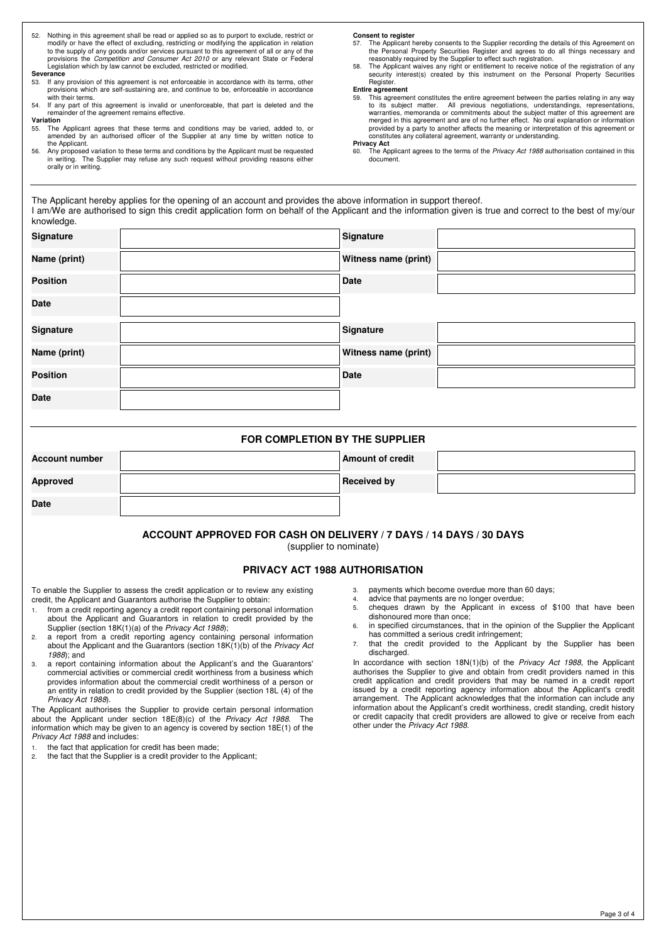52. Nothing in this agreement shall be read or applied so as to purport to exclude, restrict or modify or have the effect of excluding, restricting or modifying the application in relation to the supply of any goods and/or services pursuant to this agreement of all or any of the<br>provisions the *Competition and Consumer Act 2010* or any relevant State or Federal<br>Legislation which by law cannot be excluded, r

#### **Severance**

- 53. If any provision of this agreement is not enforceable in accordance with its terms, other provisions which are self-sustaining are, and continue to be, enforceable in accordance with their terms.
- 54. If any part of this agreement is invalid or unenforceable, that part is deleted and the remainder of the agreement remains effective.

### **Variation**

- 55. The Applicant agrees that these terms and conditions may be varied, added to, or amended by an authorised officer of the Supplier at any time by written notice to the Applicant.
- 56. Any proposed variation to these terms and conditions by the Applicant must be requested in writing. The Supplier may refuse any such request without providing reasons either orally or in writing.

#### **Consent to register**

- The Applicant hereby consents to the Supplier recording the details of this Agreement on the Personal Property Securities Register and agrees to do all things necessary and<br>reasonably required by the Supplier to effect such registration.<br>58. The Applicant waives any right or entitlement to receive notice of th
- security interest(s) created by this instrument on the Personal Property Securities Register.

- **Entire agreement**  59. This agreement constitutes the entire agreement between the parties relating in any way to its subject matter. All previous negotiations, understandings, representations, warranties, memoranda or commitments about the subject matter of this agreement are merged in this agreement and are of no further effect. No oral explanation or information provided by a party to another affects the meaning or interpretation of this agreement or constitutes any collateral agreement, warranty or understanding. **Privacy Act**
- 60. The Applicant agrees to the terms of the Privacy Act 1988 authorisation contained in this document.

The Applicant hereby applies for the opening of an account and provides the above information in support thereof. I am/We are authorised to sign this credit application form on behalf of the Applicant and the information given is true and correct to the best of my/our knowledge.

| <b>Signature</b> | Signature            |  |
|------------------|----------------------|--|
| Name (print)     | Witness name (print) |  |
| <b>Position</b>  | <b>Date</b>          |  |
| <b>Date</b>      |                      |  |
| <b>Signature</b> | Signature            |  |
| Name (print)     | Witness name (print) |  |
| <b>Position</b>  | Date                 |  |
| Date             |                      |  |

| FOR COMPLETION BY THE SUPPLIER |  |                         |  |  |
|--------------------------------|--|-------------------------|--|--|
| <b>Account number</b>          |  | <b>Amount of credit</b> |  |  |
| Approved                       |  | <b>Received by</b>      |  |  |
| <b>Date</b>                    |  |                         |  |  |

### **ACCOUNT APPROVED FOR CASH ON DELIVERY / 7 DAYS / 14 DAYS / 30 DAYS**

(supplier to nominate)

### **PRIVACY ACT 1988 AUTHORISATION**

To enable the Supplier to assess the credit application or to review any existing credit, the Applicant and Guarantors authorise the Supplier to obtain:

- 1. from a credit reporting agency a credit report containing personal information about the Applicant and Guarantors in relation to credit provided by the Supplier (section 18K(1)(a) of the Privacy Act 1988);
- 2. a report from a credit reporting agency containing personal information about the Applicant and the Guarantors (section 18K(1)(b) of the Privacy Act 1988); and
- 3. a report containing information about the Applicant's and the Guarantors' commercial activities or commercial credit worthiness from a business which provides information about the commercial credit worthiness of a person or an entity in relation to credit provided by the Supplier (section 18L (4) of the Privacy Act 1988).

The Applicant authorises the Supplier to provide certain personal information about the Applicant under section  $18E(8)(c)$  of the *Privacy Act 1988*. information which may be given to an agency is covered by section 18E(1) of the Privacy Act 1988 and includes:

- 1. the fact that application for credit has been made;<br>2. the fact that the Supplier is a credit provider to the
- the fact that the Supplier is a credit provider to the Applicant;
- 3. payments which become overdue more than 60 days;
- 4. advice that payments are no longer overdue;
- 5. cheques drawn by the Applicant in excess of \$100 that have been dishonoured more than once;
- 6. in specified circumstances, that in the opinion of the Supplier the Applicant has committed a serious credit infringement;
- 7. that the credit provided to the Applicant by the Supplier has been discharged.

In accordance with section 18N(1)(b) of the Privacy Act 1988, the Applicant authorises the Supplier to give and obtain from credit providers named in this credit application and credit providers that may be named in a credit report issued by a credit reporting agency information about the Applicant's credit arrangement. The Applicant acknowledges that the information can include any information about the Applicant's credit worthiness, credit standing, credit history or credit capacity that credit providers are allowed to give or receive from each other under the Privacy Act 1988.